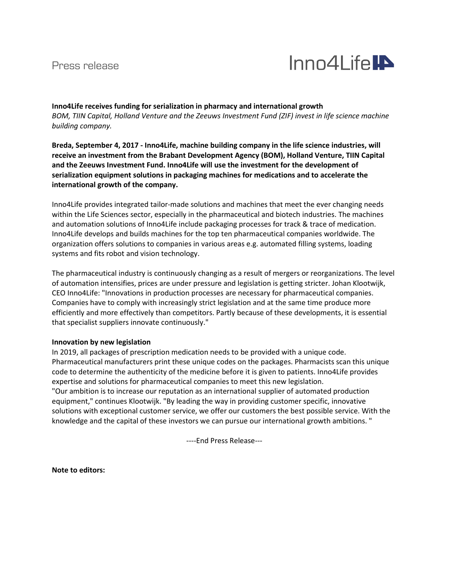## Press release



**Inno4Life receives funding for serialization in pharmacy and international growth** *BOM, TIIN Capital, Holland Venture and the Zeeuws Investment Fund (ZIF) invest in life science machine building company.*

**Breda, September 4, 2017 - Inno4Life, machine building company in the life science industries, will receive an investment from the Brabant Development Agency (BOM), Holland Venture, TIIN Capital and the Zeeuws Investment Fund. Inno4Life will use the investment for the development of serialization equipment solutions in packaging machines for medications and to accelerate the international growth of the company.**

Inno4Life provides integrated tailor-made solutions and machines that meet the ever changing needs within the Life Sciences sector, especially in the pharmaceutical and biotech industries. The machines and automation solutions of Inno4Life include packaging processes for track & trace of medication. Inno4Life develops and builds machines for the top ten pharmaceutical companies worldwide. The organization offers solutions to companies in various areas e.g. automated filling systems, loading systems and fits robot and vision technology.

The pharmaceutical industry is continuously changing as a result of mergers or reorganizations. The level of automation intensifies, prices are under pressure and legislation is getting stricter. Johan Klootwijk, CEO Inno4Life: "Innovations in production processes are necessary for pharmaceutical companies. Companies have to comply with increasingly strict legislation and at the same time produce more efficiently and more effectively than competitors. Partly because of these developments, it is essential that specialist suppliers innovate continuously."

#### **Innovation by new legislation**

In 2019, all packages of prescription medication needs to be provided with a unique code. Pharmaceutical manufacturers print these unique codes on the packages. Pharmacists scan this unique code to determine the authenticity of the medicine before it is given to patients. Inno4Life provides expertise and solutions for pharmaceutical companies to meet this new legislation. "Our ambition is to increase our reputation as an international supplier of automated production equipment," continues Klootwijk. "By leading the way in providing customer specific, innovative solutions with exceptional customer service, we offer our customers the best possible service. With the knowledge and the capital of these investors we can pursue our international growth ambitions. "

----End Press Release---

**Note to editors:**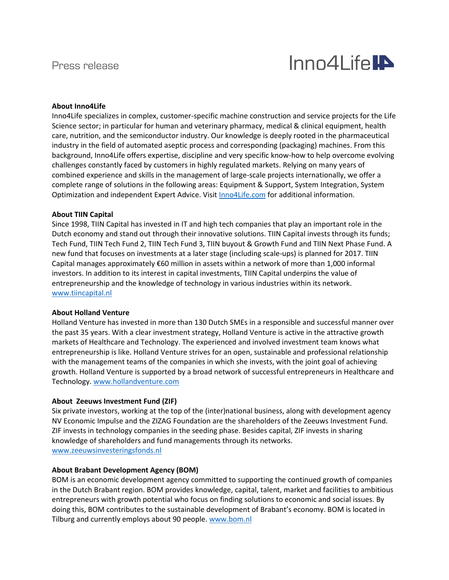

#### **About Inno4Life**

Inno4Life specializes in complex, customer-specific machine construction and service projects for the Life Science sector; in particular for human and veterinary pharmacy, medical & clinical equipment, health care, nutrition, and the semiconductor industry. Our knowledge is deeply rooted in the pharmaceutical industry in the field of automated aseptic process and corresponding (packaging) machines. From this background, Inno4Life offers expertise, discipline and very specific know-how to help overcome evolving challenges constantly faced by customers in highly regulated markets. Relying on many years of combined experience and skills in the management of large-scale projects internationally, we offer a complete range of solutions in the following areas: Equipment & Support, System Integration, System Optimization and independent Expert Advice. Visi[t Inno4Life.com](http://www.inno4life.com/) for additional information.

#### **About TIIN Capital**

Since 1998, TIIN Capital has invested in IT and high tech companies that play an important role in the Dutch economy and stand out through their innovative solutions. TIIN Capital invests through its funds; Tech Fund, TIIN Tech Fund 2, TIIN Tech Fund 3, TIIN buyout & Growth Fund and TIIN Next Phase Fund. A new fund that focuses on investments at a later stage (including scale-ups) is planned for 2017. TIIN Capital manages approximately €60 million in assets within a network of more than 1,000 informal investors. In addition to its interest in capital investments, TIIN Capital underpins the value of entrepreneurship and the knowledge of technology in various industries within its network. [www.tiincapital.nl](http://www.tiincapital.nl/)

#### **About Holland Venture**

Holland Venture has invested in more than 130 Dutch SMEs in a responsible and successful manner over the past 35 years. With a clear investment strategy, Holland Venture is active in the attractive growth markets of Healthcare and Technology. The experienced and involved investment team knows what entrepreneurship is like. Holland Venture strives for an open, sustainable and professional relationship with the management teams of the companies in which she invests, with the joint goal of achieving growth. Holland Venture is supported by a broad network of successful entrepreneurs in Healthcare and Technology. [www.hollandventure.com](http://www.hollandventure.com/)

#### **About Zeeuws Investment Fund (ZIF)**

Six private investors, working at the top of the (inter)national business, along with development agency NV Economic Impulse and the ZIZAG Foundation are the shareholders of the Zeeuws Investment Fund. ZIF invests in technology companies in the seeding phase. Besides capital, ZIF invests in sharing knowledge of shareholders and fund managements through its networks. [www.zeeuwsinvesteringsfonds.nl](https://ssl.translatoruser.net/bv.aspx?from=nl&to=en&a=http%3A%2F%2Fwww.zeeuwsinvesteringsfonds.nl%2F)

#### **About Brabant Development Agency (BOM)**

BOM is an economic development agency committed to supporting the continued growth of companies in the Dutch Brabant region. BOM provides knowledge, capital, talent, market and facilities to ambitious entrepreneurs with growth potential who focus on finding solutions to economic and social issues. By doing this, BOM contributes to the sustainable development of Brabant's economy. BOM is located in Tilburg and currently employs about 90 people. [www.bom.nl](https://ssl.translatoruser.net/bv.aspx?from=nl&to=en&a=http%3A%2F%2Fwww.bom.nl%2F)